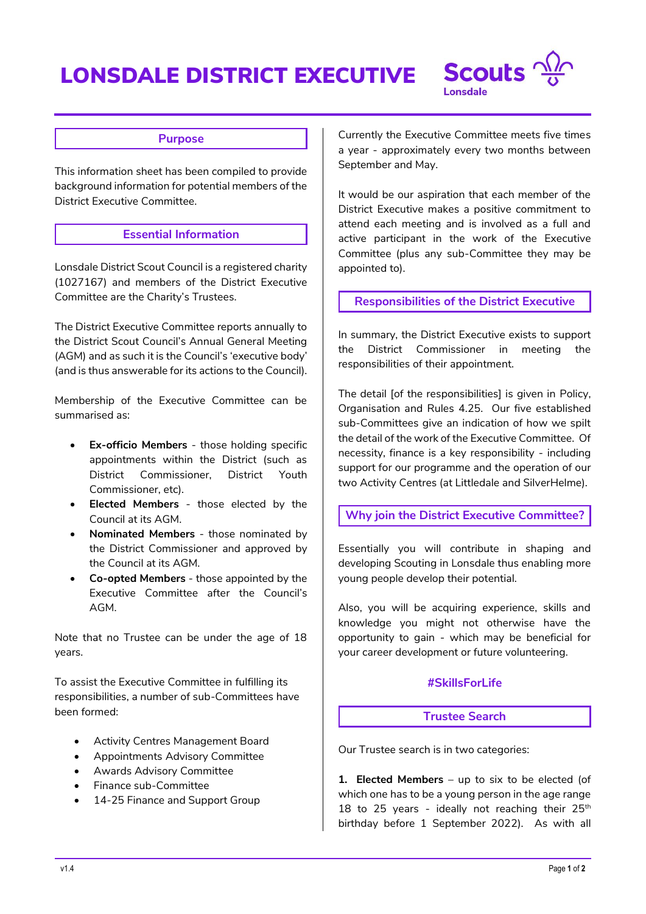# LONSDALE DISTRICT EXECUTIVE



### **Purpose**

This information sheet has been compiled to provide background information for potential members of the District Executive Committee.

### **Essential Information**

Lonsdale District Scout Council is a registered charity (1027167) and members of the District Executive Committee are the Charity's Trustees.

The District Executive Committee reports annually to the District Scout Council's Annual General Meeting (AGM) and as such it is the Council's 'executive body' (and is thus answerable for its actions to the Council).

Membership of the Executive Committee can be summarised as:

- **Ex-officio Members** those holding specific appointments within the District (such as District Commissioner, District Youth Commissioner, etc).
- **Elected Members** those elected by the Council at its AGM.
- **Nominated Members** those nominated by the District Commissioner and approved by the Council at its AGM.
- **Co-opted Members** those appointed by the Executive Committee after the Council's AGM.

Note that no Trustee can be under the age of 18 years.

To assist the Executive Committee in fulfilling its responsibilities, a number of sub-Committees have been formed:

- Activity Centres Management Board
- Appointments Advisory Committee
- Awards Advisory Committee
- Finance sub-Committee
- 14-25 Finance and Support Group

Currently the Executive Committee meets five times a year - approximately every two months between September and May.

It would be our aspiration that each member of the District Executive makes a positive commitment to attend each meeting and is involved as a full and active participant in the work of the Executive Committee (plus any sub-Committee they may be appointed to).

**Responsibilities of the District Executive**

In summary, the District Executive exists to support the District Commissioner in meeting the responsibilities of their appointment.

The detail [of the responsibilities] is given in Policy, Organisation and Rules 4.25. Our five established sub-Committees give an indication of how we spilt the detail of the work of the Executive Committee. Of necessity, finance is a key responsibility - including support for our programme and the operation of our two Activity Centres (at Littledale and SilverHelme).

**Why join the District Executive Committee?**

Essentially you will contribute in shaping and developing Scouting in Lonsdale thus enabling more young people develop their potential.

Also, you will be acquiring experience, skills and knowledge you might not otherwise have the opportunity to gain - which may be beneficial for your career development or future volunteering.

# **#SkillsForLife**

#### **Trustee Search**

Our Trustee search is in two categories:

**1. Elected Members** – up to six to be elected (of which one has to be a young person in the age range 18 to 25 years - ideally not reaching their  $25<sup>th</sup>$ birthday before 1 September 2022). As with all